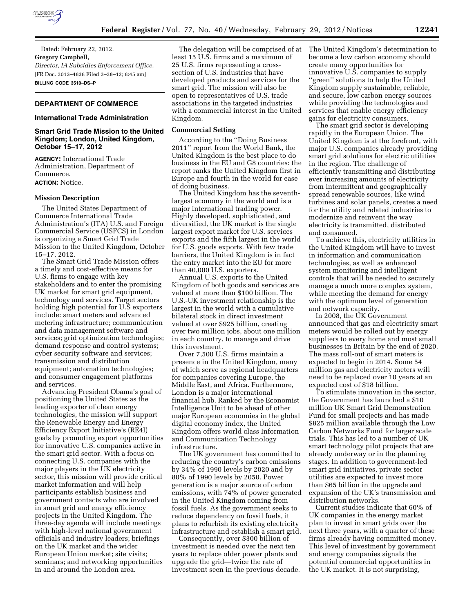

Dated: February 22, 2012. **Gregory Campbell,**  *Director, IA Subsidies Enforcement Office.*  [FR Doc. 2012–4838 Filed 2–28–12; 8:45 am] **BILLING CODE 3510–DS–P** 

### **DEPARTMENT OF COMMERCE**

### **International Trade Administration**

## **Smart Grid Trade Mission to the United Kingdom; London, United Kingdom, October 15–17, 2012**

**AGENCY:** International Trade Administration, Department of Commerce. **ACTION:** Notice.

### **Mission Description**

The United States Department of Commerce International Trade Administration's (ITA) U.S. and Foreign Commercial Service (USFCS) in London is organizing a Smart Grid Trade Mission to the United Kingdom, October 15–17, 2012.

The Smart Grid Trade Mission offers a timely and cost-effective means for U.S. firms to engage with key stakeholders and to enter the promising UK market for smart grid equipment, technology and services. Target sectors holding high potential for U.S exporters include: smart meters and advanced metering infrastructure; communication and data management software and services; grid optimization technologies; demand response and control systems; cyber security software and services; transmission and distribution equipment; automation technologies; and consumer engagement platforms and services.

Advancing President Obama's goal of positioning the United States as the leading exporter of clean energy technologies, the mission will support the Renewable Energy and Energy Efficiency Export Initiative's (RE4I) goals by promoting export opportunities for innovative U.S. companies active in the smart grid sector. With a focus on connecting U.S. companies with the major players in the UK electricity sector, this mission will provide critical market information and will help participants establish business and government contacts who are involved in smart grid and energy efficiency projects in the United Kingdom. The three-day agenda will include meetings with high-level national government officials and industry leaders; briefings on the UK market and the wider European Union market; site visits; seminars; and networking opportunities in and around the London area.

The delegation will be comprised of at least 15 U.S. firms and a maximum of 25 U.S. firms representing a crosssection of U.S. industries that have developed products and services for the smart grid. The mission will also be open to representatives of U.S. trade associations in the targeted industries with a commercial interest in the United Kingdom.

#### **Commercial Setting**

According to the ''Doing Business 2011'' report from the World Bank, the United Kingdom is the best place to do business in the EU and G8 countries: the report ranks the United Kingdom first in Europe and fourth in the world for ease of doing business.

The United Kingdom has the seventhlargest economy in the world and is a major international trading power. Highly developed, sophisticated, and diversified, the UK market is the single largest export market for U.S. services exports and the fifth largest in the world for U.S. goods exports. With few trade barriers, the United Kingdom is in fact the entry market into the EU for more than 40,000 U.S. exporters.

Annual U.S. exports to the United Kingdom of both goods and services are valued at more than \$100 billion. The U.S.-UK investment relationship is the largest in the world with a cumulative bilateral stock in direct investment valued at over \$925 billion, creating over two million jobs, about one million in each country, to manage and drive this investment.

Over 7,500 U.S. firms maintain a presence in the United Kingdom, many of which serve as regional headquarters for companies covering Europe, the Middle East, and Africa. Furthermore, London is a major international financial hub. Ranked by the Economist Intelligence Unit to be ahead of other major European economies in the global digital economy index, the United Kingdom offers world class Information and Communication Technology infrastructure.

The UK government has committed to reducing the country's carbon emissions by 34% of 1990 levels by 2020 and by 80% of 1990 levels by 2050. Power generation is a major source of carbon emissions, with 74% of power generated in the United Kingdom coming from fossil fuels. As the government seeks to reduce dependency on fossil fuels, it plans to refurbish its existing electricity infrastructure and establish a smart grid.

Consequently, over \$300 billion of investment is needed over the next ten years to replace older power plants and upgrade the grid—twice the rate of investment seen in the previous decade. The United Kingdom's determination to become a low carbon economy should create many opportunities for innovative U.S. companies to supply ''green'' solutions to help the United Kingdom supply sustainable, reliable, and secure, low carbon energy sources while providing the technologies and services that enable energy efficiency gains for electricity consumers.

The smart grid sector is developing rapidly in the European Union. The United Kingdom is at the forefront, with major U.S. companies already providing smart grid solutions for electric utilities in the region. The challenge of efficiently transmitting and distributing ever increasing amounts of electricity from intermittent and geographically spread renewable sources, like wind turbines and solar panels, creates a need for the utility and related industries to modernize and reinvent the way electricity is transmitted, distributed and consumed.

To achieve this, electricity utilities in the United Kingdom will have to invest in information and communication technologies, as well as enhanced system monitoring and intelligent controls that will be needed to securely manage a much more complex system, while meeting the demand for energy with the optimum level of generation and network capacity.

In 2008, the UK Government announced that gas and electricity smart meters would be rolled out by energy suppliers to every home and most small businesses in Britain by the end of 2020. The mass roll-out of smart meters is expected to begin in 2014. Some 54 million gas and electricity meters will need to be replaced over 10 years at an expected cost of \$18 billion.

To stimulate innovation in the sector, the Government has launched a \$10 million UK Smart Grid Demonstration Fund for small projects and has made \$825 million available through the Low Carbon Networks Fund for larger scale trials. This has led to a number of UK smart technology pilot projects that are already underway or in the planning stages. In addition to government-led smart grid initiatives, private sector utilities are expected to invest more than \$65 billion in the upgrade and expansion of the UK's transmission and distribution networks.

Current studies indicate that 60% of UK companies in the energy market plan to invest in smart grids over the next three years, with a quarter of these firms already having committed money. This level of investment by government and energy companies signals the potential commercial opportunities in the UK market. It is not surprising,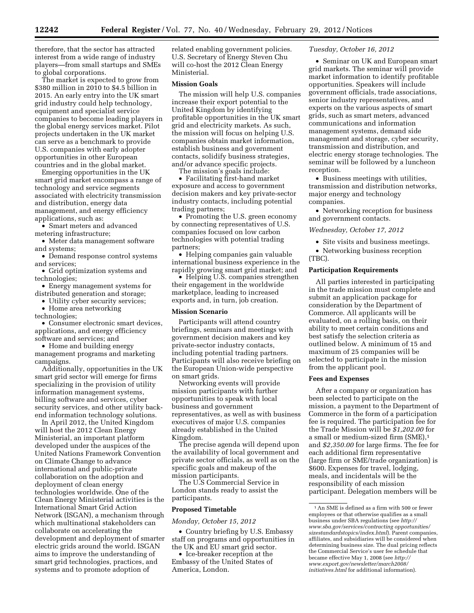therefore, that the sector has attracted interest from a wide range of industry players—from small startups and SMEs to global corporations.

The market is expected to grow from \$380 million in 2010 to \$4.5 billion in 2015. An early entry into the UK smart grid industry could help technology, equipment and specialist service companies to become leading players in the global energy services market. Pilot projects undertaken in the UK market can serve as a benchmark to provide U.S. companies with early adopter opportunities in other European countries and in the global market.

Emerging opportunities in the UK smart grid market encompass a range of technology and service segments associated with electricity transmission and distribution, energy data management, and energy efficiency applications, such as:

• Smart meters and advanced metering infrastructure;

• Meter data management software and systems;

• Demand response control systems and services;

• Grid optimization systems and technologies;

• Energy management systems for distributed generation and storage;

• Utility cyber security services;

• Home area networking

technologies;

• Consumer electronic smart devices, applications, and energy efficiency software and services; and

• Home and building energy

management programs and marketing campaigns.

Additionally, opportunities in the UK smart grid sector will emerge for firms specializing in the provision of utility information management systems, billing software and services, cyber security services, and other utility backend information technology solutions.

In April 2012, the United Kingdom will host the 2012 Clean Energy Ministerial, an important platform developed under the auspices of the United Nations Framework Convention on Climate Change to advance international and public-private collaboration on the adoption and deployment of clean energy technologies worldwide. One of the Clean Energy Ministerial activities is the International Smart Grid Action Network (ISGAN), a mechanism through which multinational stakeholders can collaborate on accelerating the development and deployment of smarter electric grids around the world. ISGAN aims to improve the understanding of smart grid technologies, practices, and systems and to promote adoption of

related enabling government policies. U.S. Secretary of Energy Steven Chu will co-host the 2012 Clean Energy Ministerial.

#### **Mission Goals**

The mission will help U.S. companies increase their export potential to the United Kingdom by identifying profitable opportunities in the UK smart grid and electricity markets. As such, the mission will focus on helping U.S. companies obtain market information, establish business and government contacts, solidify business strategies, and/or advance specific projects.

The mission's goals include:

• Facilitating first-hand market exposure and access to government decision makers and key private-sector industry contacts, including potential trading partners;

• Promoting the U.S. green economy by connecting representatives of U.S. companies focused on low carbon technologies with potential trading partners;

• Helping companies gain valuable international business experience in the rapidly growing smart grid market; and

• Helping U.S. companies strengthen their engagement in the worldwide marketplace, leading to increased exports and, in turn, job creation.

#### **Mission Scenario**

Participants will attend country briefings, seminars and meetings with government decision makers and key private-sector industry contacts, including potential trading partners. Participants will also receive briefing on the European Union-wide perspective on smart grids.

Networking events will provide mission participants with further opportunities to speak with local business and government representatives, as well as with business executives of major U.S. companies already established in the United Kingdom.

The precise agenda will depend upon the availability of local government and private sector officials, as well as on the specific goals and makeup of the mission participants.

The U.S Commercial Service in London stands ready to assist the participants.

## **Proposed Timetable**

*Monday, October 15, 2012* 

• Country briefing by U.S. Embassy staff on programs and opportunities in the UK and EU smart grid sector.

• Ice-breaker reception at the Embassy of the United States of America, London.

# *Tuesday, October 16, 2012*

• Seminar on UK and European smart grid markets. The seminar will provide market information to identify profitable opportunities. Speakers will include government officials, trade associations, senior industry representatives, and experts on the various aspects of smart grids, such as smart meters, advanced communications and information management systems, demand side management and storage, cyber security, transmission and distribution, and electric energy storage technologies. The seminar will be followed by a luncheon reception.

• Business meetings with utilities, transmission and distribution networks, major energy and technology companies.

• Networking reception for business and government contacts.

*Wednesday, October 17, 2012* 

- Site visits and business meetings.
- Networking business reception (TBC).

### **Participation Requirements**

All parties interested in participating in the trade mission must complete and submit an application package for consideration by the Department of Commerce. All applicants will be evaluated, on a rolling basis, on their ability to meet certain conditions and best satisfy the selection criteria as outlined below. A minimum of 15 and maximum of 25 companies will be selected to participate in the mission from the applicant pool.

#### **Fees and Expenses**

After a company or organization has been selected to participate on the mission, a payment to the Department of Commerce in the form of a participation fee is required. The participation fee for the Trade Mission will be *\$1,202.00* for a small or medium-sized firm (SME),1 and *\$2,350.00* for large firms. The fee for each additional firm representative (large firm or SME/trade organization) is \$600. Expenses for travel, lodging, meals, and incidentals will be the responsibility of each mission participant. Delegation members will be

<sup>1</sup>An SME is defined as a firm with 500 or fewer employees or that otherwise qualifies as a small business under SBA regulations (see *http:// www.sba.gov/services/contracting opportunities/ sizestandardstopics/index.html*). Parent companies, affiliates, and subsidiaries will be considered when determining business size. The dual pricing reflects the Commercial Service's user fee schedule that became effective May 1, 2008 (see *[http://](http://www.export.gov/newsletter/march2008/initiatives.html) [www.export.gov/newsletter/march2008/](http://www.export.gov/newsletter/march2008/initiatives.html)  [initiatives.html](http://www.export.gov/newsletter/march2008/initiatives.html)* for additional information).